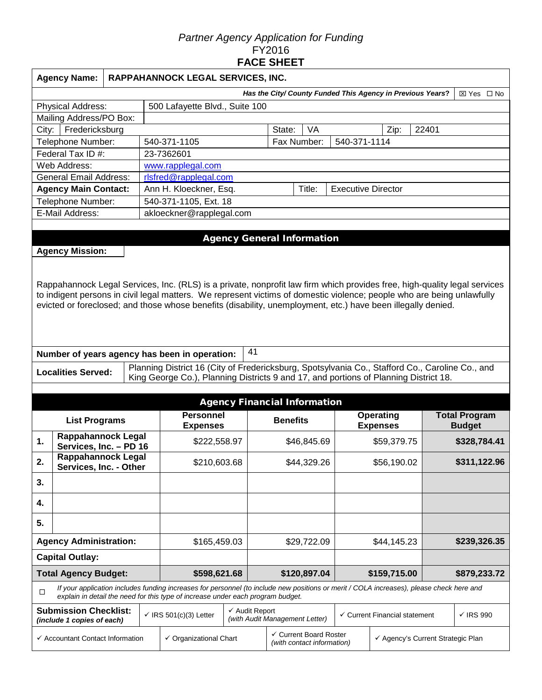### *Partner Agency Application for Funding*  FY2016 **FACE SHEET**

|                               | <b>Agency Name:</b>                                                                                                                                                                                                                                                                                                                                                 |  | RAPPAHANNOCK LEGAL SERVICES, INC. |                                                                                                                                                                                                                             |                                                               |              |                                                      |             |              |                                                                  |              |                                                            |                                       |  |
|-------------------------------|---------------------------------------------------------------------------------------------------------------------------------------------------------------------------------------------------------------------------------------------------------------------------------------------------------------------------------------------------------------------|--|-----------------------------------|-----------------------------------------------------------------------------------------------------------------------------------------------------------------------------------------------------------------------------|---------------------------------------------------------------|--------------|------------------------------------------------------|-------------|--------------|------------------------------------------------------------------|--------------|------------------------------------------------------------|---------------------------------------|--|
|                               |                                                                                                                                                                                                                                                                                                                                                                     |  |                                   |                                                                                                                                                                                                                             |                                                               |              |                                                      |             |              |                                                                  |              | Has the City/ County Funded This Agency in Previous Years? | ⊠ Yes □ No                            |  |
|                               | <b>Physical Address:</b>                                                                                                                                                                                                                                                                                                                                            |  |                                   | 500 Lafayette Blvd., Suite 100                                                                                                                                                                                              |                                                               |              |                                                      |             |              |                                                                  |              |                                                            |                                       |  |
|                               | Mailing Address/PO Box:                                                                                                                                                                                                                                                                                                                                             |  |                                   |                                                                                                                                                                                                                             |                                                               |              |                                                      |             |              |                                                                  |              |                                                            |                                       |  |
| Fredericksburg<br>City:       |                                                                                                                                                                                                                                                                                                                                                                     |  |                                   |                                                                                                                                                                                                                             |                                                               |              | State:                                               | VA          |              |                                                                  | Zip:         | 22401                                                      |                                       |  |
|                               | Telephone Number:                                                                                                                                                                                                                                                                                                                                                   |  |                                   | 540-371-1105                                                                                                                                                                                                                | Fax Number:<br>540-371-1114                                   |              |                                                      |             |              |                                                                  |              |                                                            |                                       |  |
| Federal Tax ID #:             |                                                                                                                                                                                                                                                                                                                                                                     |  |                                   | 23-7362601                                                                                                                                                                                                                  |                                                               |              |                                                      |             |              |                                                                  |              |                                                            |                                       |  |
|                               | Web Address:                                                                                                                                                                                                                                                                                                                                                        |  |                                   | www.rapplegal.com                                                                                                                                                                                                           |                                                               |              |                                                      |             |              |                                                                  |              |                                                            |                                       |  |
|                               | <b>General Email Address:</b>                                                                                                                                                                                                                                                                                                                                       |  |                                   | rlsfred@rapplegal.com                                                                                                                                                                                                       |                                                               |              |                                                      |             |              |                                                                  |              |                                                            |                                       |  |
|                               | <b>Agency Main Contact:</b>                                                                                                                                                                                                                                                                                                                                         |  |                                   |                                                                                                                                                                                                                             | Ann H. Kloeckner, Esq.<br><b>Executive Director</b><br>Title: |              |                                                      |             |              |                                                                  |              |                                                            |                                       |  |
|                               | Telephone Number:<br>E-Mail Address:                                                                                                                                                                                                                                                                                                                                |  |                                   | 540-371-1105, Ext. 18                                                                                                                                                                                                       |                                                               |              |                                                      |             |              |                                                                  |              |                                                            |                                       |  |
|                               |                                                                                                                                                                                                                                                                                                                                                                     |  |                                   | akloeckner@rapplegal.com                                                                                                                                                                                                    |                                                               |              |                                                      |             |              |                                                                  |              |                                                            |                                       |  |
|                               |                                                                                                                                                                                                                                                                                                                                                                     |  |                                   |                                                                                                                                                                                                                             |                                                               |              |                                                      |             |              |                                                                  |              |                                                            |                                       |  |
|                               | <b>Agency Mission:</b>                                                                                                                                                                                                                                                                                                                                              |  |                                   |                                                                                                                                                                                                                             |                                                               |              | <b>Agency General Information</b>                    |             |              |                                                                  |              |                                                            |                                       |  |
|                               | Rappahannock Legal Services, Inc. (RLS) is a private, nonprofit law firm which provides free, high-quality legal services<br>to indigent persons in civil legal matters. We represent victims of domestic violence; people who are being unlawfully<br>evicted or foreclosed; and those whose benefits (disability, unemployment, etc.) have been illegally denied. |  |                                   |                                                                                                                                                                                                                             |                                                               |              |                                                      |             |              |                                                                  |              |                                                            |                                       |  |
|                               |                                                                                                                                                                                                                                                                                                                                                                     |  |                                   | Number of years agency has been in operation:                                                                                                                                                                               | 41                                                            |              |                                                      |             |              |                                                                  |              |                                                            |                                       |  |
|                               |                                                                                                                                                                                                                                                                                                                                                                     |  |                                   |                                                                                                                                                                                                                             |                                                               |              |                                                      |             |              |                                                                  |              |                                                            |                                       |  |
|                               | <b>Localities Served:</b>                                                                                                                                                                                                                                                                                                                                           |  |                                   | Planning District 16 (City of Fredericksburg, Spotsylvania Co., Stafford Co., Caroline Co., and<br>King George Co.), Planning Districts 9 and 17, and portions of Planning District 18.                                     |                                                               |              |                                                      |             |              |                                                                  |              |                                                            |                                       |  |
|                               |                                                                                                                                                                                                                                                                                                                                                                     |  |                                   |                                                                                                                                                                                                                             |                                                               |              | <b>Agency Financial Information</b>                  |             |              |                                                                  |              |                                                            |                                       |  |
| <b>List Programs</b>          |                                                                                                                                                                                                                                                                                                                                                                     |  |                                   | <b>Personnel</b><br><b>Expenses</b>                                                                                                                                                                                         |                                                               |              | <b>Benefits</b>                                      |             |              | <b>Operating</b><br><b>Expenses</b>                              |              |                                                            | <b>Total Program</b><br><b>Budget</b> |  |
| 1.                            | Rappahannock Legal<br>Services, Inc. - PD 16                                                                                                                                                                                                                                                                                                                        |  |                                   | \$222,558.97                                                                                                                                                                                                                |                                                               | \$46,845.69  |                                                      |             |              | \$59,379.75                                                      |              |                                                            | \$328,784.41                          |  |
| 2.                            | <b>Rappahannock Legal</b><br>Services, Inc. - Other                                                                                                                                                                                                                                                                                                                 |  |                                   | \$210,603.68                                                                                                                                                                                                                |                                                               |              |                                                      | \$44,329.26 |              | \$56,190.02                                                      |              |                                                            | \$311,122.96                          |  |
| 3.                            |                                                                                                                                                                                                                                                                                                                                                                     |  |                                   |                                                                                                                                                                                                                             |                                                               |              |                                                      |             |              |                                                                  |              |                                                            |                                       |  |
| 4.                            |                                                                                                                                                                                                                                                                                                                                                                     |  |                                   |                                                                                                                                                                                                                             |                                                               |              |                                                      |             |              |                                                                  |              |                                                            |                                       |  |
| 5.                            |                                                                                                                                                                                                                                                                                                                                                                     |  |                                   |                                                                                                                                                                                                                             |                                                               |              |                                                      |             |              |                                                                  |              |                                                            |                                       |  |
| <b>Agency Administration:</b> |                                                                                                                                                                                                                                                                                                                                                                     |  |                                   | \$165,459.03                                                                                                                                                                                                                |                                                               |              |                                                      | \$29,722.09 |              | \$44,145.23                                                      |              |                                                            | \$239,326.35                          |  |
|                               | <b>Capital Outlay:</b>                                                                                                                                                                                                                                                                                                                                              |  |                                   |                                                                                                                                                                                                                             |                                                               |              |                                                      |             |              |                                                                  |              |                                                            |                                       |  |
| <b>Total Agency Budget:</b>   |                                                                                                                                                                                                                                                                                                                                                                     |  |                                   | \$598,621.68                                                                                                                                                                                                                |                                                               | \$120,897.04 |                                                      |             | \$159,715.00 |                                                                  | \$879,233.72 |                                                            |                                       |  |
| $\Box$                        |                                                                                                                                                                                                                                                                                                                                                                     |  |                                   | If your application includes funding increases for personnel (to include new positions or merit / COLA increases), please check here and<br>explain in detail the need for this type of increase under each program budget. |                                                               |              |                                                      |             |              |                                                                  |              |                                                            |                                       |  |
|                               | <b>Submission Checklist:</b><br>(include 1 copies of each)                                                                                                                                                                                                                                                                                                          |  |                                   | $\checkmark$ IRS 501(c)(3) Letter                                                                                                                                                                                           | $\checkmark$ Audit Report                                     |              | (with Audit Management Letter)                       |             |              | $\checkmark$ Current Financial statement<br>$\checkmark$ IRS 990 |              |                                                            |                                       |  |
|                               | ← Accountant Contact Information                                                                                                                                                                                                                                                                                                                                    |  |                                   | $\checkmark$ Organizational Chart                                                                                                                                                                                           |                                                               |              | ✓ Current Board Roster<br>(with contact information) |             |              | ← Agency's Current Strategic Plan                                |              |                                                            |                                       |  |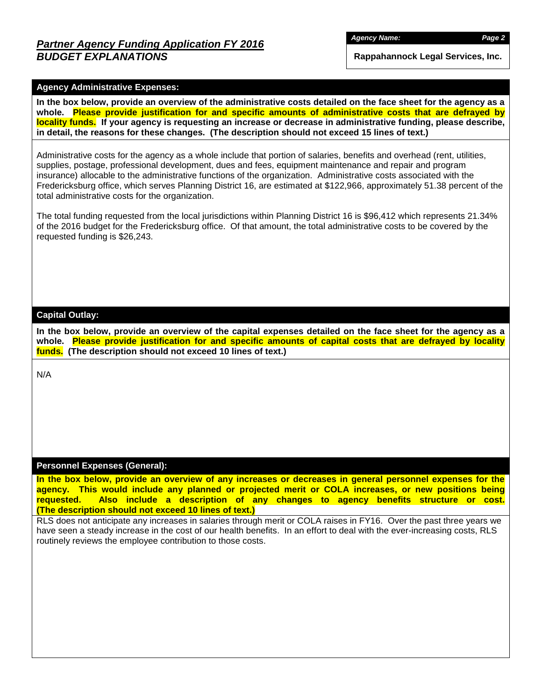## *Partner Agency Funding Application FY 2016 BUDGET EXPLANATIONS*

*Agency Name: Page 2*

**Rappahannock Legal Services, Inc.**

### **Agency Administrative Expenses:**

**In the box below, provide an overview of the administrative costs detailed on the face sheet for the agency as a whole. Please provide justification for and specific amounts of administrative costs that are defrayed by locality funds. If your agency is requesting an increase or decrease in administrative funding, please describe, in detail, the reasons for these changes. (The description should not exceed 15 lines of text.)**

Administrative costs for the agency as a whole include that portion of salaries, benefits and overhead (rent, utilities, supplies, postage, professional development, dues and fees, equipment maintenance and repair and program insurance) allocable to the administrative functions of the organization. Administrative costs associated with the Fredericksburg office, which serves Planning District 16, are estimated at \$122,966, approximately 51.38 percent of the total administrative costs for the organization.

The total funding requested from the local jurisdictions within Planning District 16 is \$96,412 which represents 21.34% of the 2016 budget for the Fredericksburg office. Of that amount, the total administrative costs to be covered by the requested funding is \$26,243.

### **Capital Outlay:**

**In the box below, provide an overview of the capital expenses detailed on the face sheet for the agency as a whole. Please provide justification for and specific amounts of capital costs that are defrayed by locality funds. (The description should not exceed 10 lines of text.)**

N/A

#### **Personnel Expenses (General):**

**In the box below, provide an overview of any increases or decreases in general personnel expenses for the agency. This would include any planned or projected merit or COLA increases, or new positions being requested. Also include a description of any changes to agency benefits structure or cost. (The description should not exceed 10 lines of text.)**

RLS does not anticipate any increases in salaries through merit or COLA raises in FY16. Over the past three years we have seen a steady increase in the cost of our health benefits. In an effort to deal with the ever-increasing costs, RLS routinely reviews the employee contribution to those costs.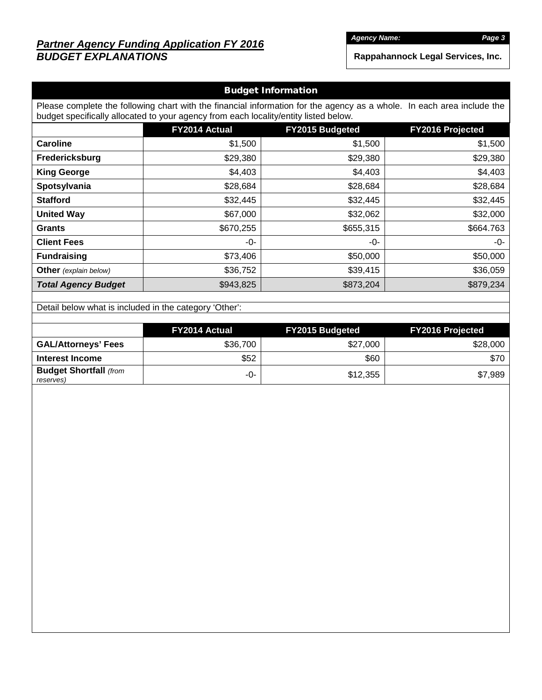# *Partner Agency Funding Application FY 2016 BUDGET EXPLANATIONS*

*Agency Name: Page 3*

**Rappahannock Legal Services, Inc.**

|                                                                                                                                                                                                                |               | <b>Budget Information</b>                                                                                                                                                                                                                                                      |           |  |  |  |  |  |  |  |
|----------------------------------------------------------------------------------------------------------------------------------------------------------------------------------------------------------------|---------------|--------------------------------------------------------------------------------------------------------------------------------------------------------------------------------------------------------------------------------------------------------------------------------|-----------|--|--|--|--|--|--|--|
| Please complete the following chart with the financial information for the agency as a whole. In each area include the<br>budget specifically allocated to your agency from each locality/entity listed below. |               |                                                                                                                                                                                                                                                                                |           |  |  |  |  |  |  |  |
|                                                                                                                                                                                                                | FY2014 Actual | FY2015 Budgeted<br><b>FY2016 Projected</b><br>\$1,500<br>\$1,500<br>\$29,380<br>\$29,380<br>\$4,403<br>\$4,403<br>\$28,684<br>\$28,684<br>\$32,445<br>\$32,445<br>\$32,062<br>\$32,000<br>\$655,315<br>\$664.763<br>-0-<br>-0-<br>\$50,000<br>\$50,000<br>\$36,059<br>\$39,415 |           |  |  |  |  |  |  |  |
| <b>Caroline</b>                                                                                                                                                                                                | \$1,500       |                                                                                                                                                                                                                                                                                |           |  |  |  |  |  |  |  |
| Fredericksburg                                                                                                                                                                                                 | \$29,380      |                                                                                                                                                                                                                                                                                |           |  |  |  |  |  |  |  |
| <b>King George</b>                                                                                                                                                                                             | \$4,403       |                                                                                                                                                                                                                                                                                |           |  |  |  |  |  |  |  |
| Spotsylvania                                                                                                                                                                                                   | \$28,684      |                                                                                                                                                                                                                                                                                |           |  |  |  |  |  |  |  |
| <b>Stafford</b>                                                                                                                                                                                                | \$32,445      |                                                                                                                                                                                                                                                                                |           |  |  |  |  |  |  |  |
| <b>United Way</b>                                                                                                                                                                                              | \$67,000      |                                                                                                                                                                                                                                                                                |           |  |  |  |  |  |  |  |
| <b>Grants</b>                                                                                                                                                                                                  | \$670,255     |                                                                                                                                                                                                                                                                                |           |  |  |  |  |  |  |  |
| <b>Client Fees</b>                                                                                                                                                                                             | -0-           |                                                                                                                                                                                                                                                                                |           |  |  |  |  |  |  |  |
| <b>Fundraising</b>                                                                                                                                                                                             | \$73,406      |                                                                                                                                                                                                                                                                                |           |  |  |  |  |  |  |  |
| <b>Other</b> (explain below)                                                                                                                                                                                   | \$36,752      |                                                                                                                                                                                                                                                                                |           |  |  |  |  |  |  |  |
| <b>Total Agency Budget</b>                                                                                                                                                                                     | \$943,825     | \$873,204                                                                                                                                                                                                                                                                      | \$879,234 |  |  |  |  |  |  |  |

Detail below what is included in the category 'Other':

|                                            | <b>FY2014 Actual</b> | <b>FY2015 Budgeted</b> | <b>FY2016 Projected</b> |  |  |
|--------------------------------------------|----------------------|------------------------|-------------------------|--|--|
| <b>GAL/Attorneys' Fees</b>                 | \$36,700             | \$27,000               | \$28,000                |  |  |
| Interest Income                            | \$52                 | \$60                   | \$70                    |  |  |
| <b>Budget Shortfall (from</b><br>reserves) | -0-                  | \$12,355               | \$7,989                 |  |  |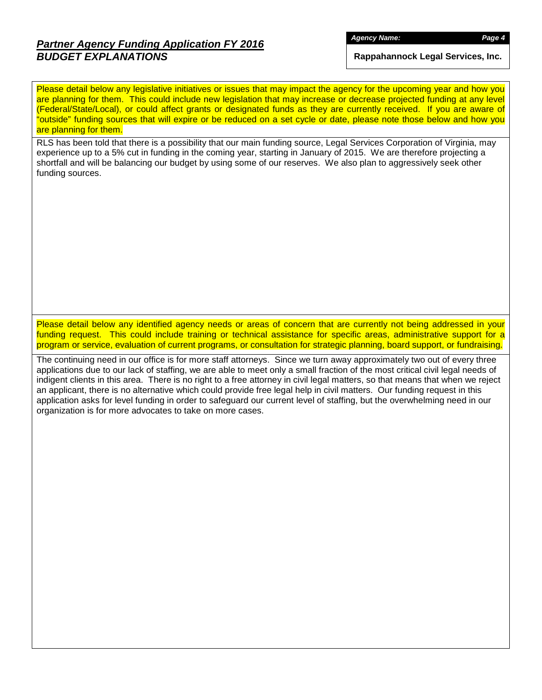# *Partner Agency Funding Application FY 2016 BUDGET EXPLANATIONS*

*Agency Name: Page 4*

**Rappahannock Legal Services, Inc.**

Please detail below any legislative initiatives or issues that may impact the agency for the upcoming year and how you are planning for them. This could include new legislation that may increase or decrease projected funding at any level (Federal/State/Local), or could affect grants or designated funds as they are currently received. If you are aware of "outside" funding sources that will expire or be reduced on a set cycle or date, please note those below and how you are planning for them.

RLS has been told that there is a possibility that our main funding source, Legal Services Corporation of Virginia, may experience up to a 5% cut in funding in the coming year, starting in January of 2015. We are therefore projecting a shortfall and will be balancing our budget by using some of our reserves. We also plan to aggressively seek other funding sources.

Please detail below any identified agency needs or areas of concern that are currently not being addressed in your funding request. This could include training or technical assistance for specific areas, administrative support for a program or service, evaluation of current programs, or consultation for strategic planning, board support, or fundraising.

The continuing need in our office is for more staff attorneys. Since we turn away approximately two out of every three applications due to our lack of staffing, we are able to meet only a small fraction of the most critical civil legal needs of indigent clients in this area. There is no right to a free attorney in civil legal matters, so that means that when we reject an applicant, there is no alternative which could provide free legal help in civil matters. Our funding request in this application asks for level funding in order to safeguard our current level of staffing, but the overwhelming need in our organization is for more advocates to take on more cases.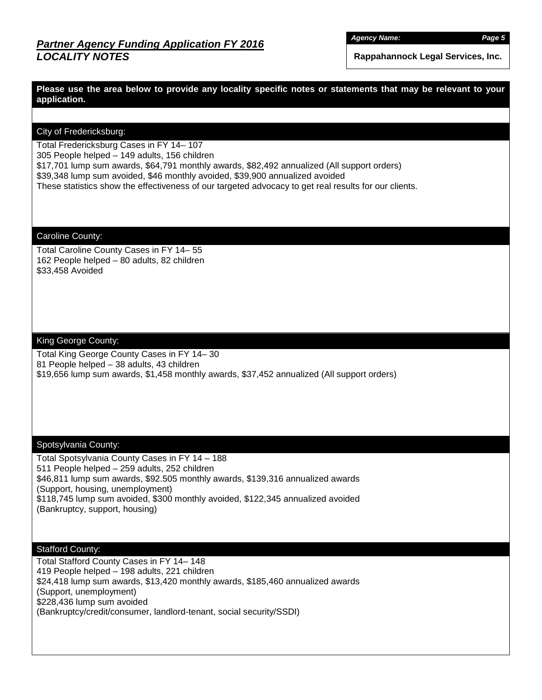*Agency Name: Page 5*

**Rappahannock Legal Services, Inc.**

**Please use the area below to provide any locality specific notes or statements that may be relevant to your application.**

### City of Fredericksburg:

Total Fredericksburg Cases in FY 14– 107

305 People helped – 149 adults, 156 children

\$17,701 lump sum awards, \$64,791 monthly awards, \$82,492 annualized (All support orders)

\$39,348 lump sum avoided, \$46 monthly avoided, \$39,900 annualized avoided

These statistics show the effectiveness of our targeted advocacy to get real results for our clients.

#### Caroline County:

Total Caroline County Cases in FY 14– 55 162 People helped – 80 adults, 82 children \$33,458 Avoided

#### King George County:

Total King George County Cases in FY 14– 30 81 People helped – 38 adults, 43 children \$19,656 lump sum awards, \$1,458 monthly awards, \$37,452 annualized (All support orders)

#### Spotsylvania County:

Total Spotsylvania County Cases in FY 14 – 188 511 People helped – 259 adults, 252 children \$46,811 lump sum awards, \$92.505 monthly awards, \$139,316 annualized awards (Support, housing, unemployment) \$118,745 lump sum avoided, \$300 monthly avoided, \$122,345 annualized avoided (Bankruptcy, support, housing)

### Stafford County:

Total Stafford County Cases in FY 14– 148 419 People helped – 198 adults, 221 children \$24,418 lump sum awards, \$13,420 monthly awards, \$185,460 annualized awards (Support, unemployment) \$228,436 lump sum avoided (Bankruptcy/credit/consumer, landlord-tenant, social security/SSDI)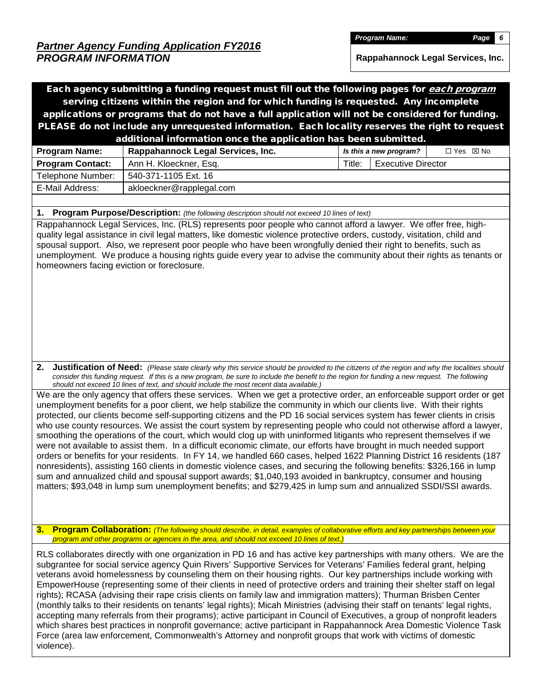*Program Name: Page 6*

**Rappahannock Legal Services, Inc.**

Each agency submitting a funding request must fill out the following pages for each program serving citizens within the region and for which funding is requested. Any incomplete applications or programs that do not have a full application will not be considered for funding. PLEASE do not include any unrequested information. Each locality reserves the right to request additional information once the application has been submitted. **Program Name:** Rappahannock Legal Services, Inc. *Is this a new program?* □ Yes ⊠ No **Program Contact:** Ann H. Kloeckner, Esq. The State of Title: Executive Director Telephone Number: | 540-371-1105 Ext. 16 E-Mail Address: | akloeckner@rapplegal.com **1. Program Purpose/Description:** *(the following description should not exceed 10 lines of text)* Rappahannock Legal Services, Inc. (RLS) represents poor people who cannot afford a lawyer. We offer free, highquality legal assistance in civil legal matters, like domestic violence protective orders, custody, visitation, child and spousal support. Also, we represent poor people who have been wrongfully denied their right to benefits, such as unemployment. We produce a housing rights guide every year to advise the community about their rights as tenants or homeowners facing eviction or foreclosure. **2. Justification of Need:** *(Please state clearly why this service should be provided to the citizens of the region and why the localities should consider this funding request. If this is a new program, be sure to include the benefit to the region for funding a new request. The following should not exceed 10 lines of text, and should include the most recent data available.)* We are the only agency that offers these services. When we get a protective order, an enforceable support order or get unemployment benefits for a poor client, we help stabilize the community in which our clients live. With their rights protected, our clients become self-supporting citizens and the PD 16 social services system has fewer clients in crisis who use county resources. We assist the court system by representing people who could not otherwise afford a lawyer, smoothing the operations of the court, which would clog up with uninformed litigants who represent themselves if we were not available to assist them. In a difficult economic climate, our efforts have brought in much needed support orders or benefits for your residents. In FY 14, we handled 660 cases, helped 1622 Planning District 16 residents (187 nonresidents), assisting 160 clients in domestic violence cases, and securing the following benefits: \$326,166 in lump sum and annualized child and spousal support awards; \$1,040,193 avoided in bankruptcy, consumer and housing matters; \$93,048 in lump sum unemployment benefits; and \$279,425 in lump sum and annualized SSDI/SSI awards. **3. Program Collaboration:** *(The following should describe, in detail, examples of collaborative efforts and key partnerships between your program and other programs or agencies in the area, and should not exceed 10 lines of text.)* RLS collaborates directly with one organization in PD 16 and has active key partnerships with many others. We are the subgrantee for social service agency Quin Rivers' Supportive Services for Veterans' Families federal grant, helping veterans avoid homelessness by counseling them on their housing rights. Our key partnerships include working with EmpowerHouse (representing some of their clients in need of protective orders and training their shelter staff on legal rights); RCASA (advising their rape crisis clients on family law and immigration matters); Thurman Brisben Center (monthly talks to their residents on tenants' legal rights); Micah Ministries (advising their staff on tenants' legal rights, accepting many referrals from their programs); active participant in Council of Executives, a group of nonprofit leaders which shares best practices in nonprofit governance; active participant in Rappahannock Area Domestic Violence Task Force (area law enforcement, Commonwealth's Attorney and nonprofit groups that work with victims of domestic

violence).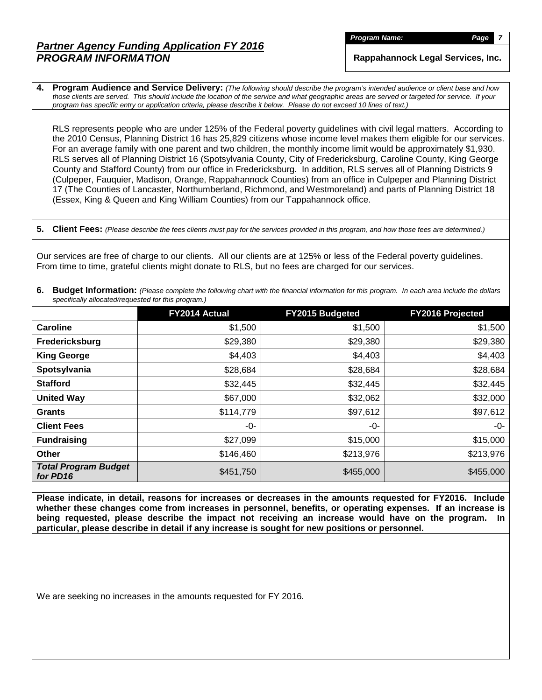**Program Name:** *Page* 

**Rappahannock Legal Services, Inc.**

**4. Program Audience and Service Delivery:** *(The following should describe the program's intended audience or client base and how those clients are served. This should include the location of the service and what geographic areas are served or targeted for service. If your program has specific entry or application criteria, please describe it below. Please do not exceed 10 lines of text.)*

RLS represents people who are under 125% of the Federal poverty guidelines with civil legal matters. According to the 2010 Census, Planning District 16 has 25,829 citizens whose income level makes them eligible for our services. For an average family with one parent and two children, the monthly income limit would be approximately \$1,930. RLS serves all of Planning District 16 (Spotsylvania County, City of Fredericksburg, Caroline County, King George County and Stafford County) from our office in Fredericksburg. In addition, RLS serves all of Planning Districts 9 (Culpeper, Fauquier, Madison, Orange, Rappahannock Counties) from an office in Culpeper and Planning District 17 (The Counties of Lancaster, Northumberland, Richmond, and Westmoreland) and parts of Planning District 18 (Essex, King & Queen and King William Counties) from our Tappahannock office.

**5. Client Fees:** *(Please describe the fees clients must pay for the services provided in this program, and how those fees are determined.)*

Our services are free of charge to our clients. All our clients are at 125% or less of the Federal poverty guidelines. From time to time, grateful clients might donate to RLS, but no fees are charged for our services.

|                                                     | 6. Budget Information: (Please complete the following chart with the financial information for this program. In each area include the dollars |  |
|-----------------------------------------------------|-----------------------------------------------------------------------------------------------------------------------------------------------|--|
| specifically allocated/requested for this program.) |                                                                                                                                               |  |

|                                         | FY2014 Actual | FY2015 Budgeted | <b>FY2016 Projected</b> |
|-----------------------------------------|---------------|-----------------|-------------------------|
| Caroline                                | \$1,500       | \$1,500         | \$1,500                 |
| Fredericksburg                          | \$29,380      | \$29,380        | \$29,380                |
| <b>King George</b>                      | \$4,403       | \$4,403         | \$4,403                 |
| Spotsylvania                            | \$28,684      | \$28,684        | \$28,684                |
| <b>Stafford</b>                         | \$32,445      | \$32,445        | \$32,445                |
| <b>United Way</b>                       | \$67,000      | \$32,062        | \$32,000                |
| <b>Grants</b>                           | \$114,779     | \$97,612        | \$97,612                |
| <b>Client Fees</b>                      | -0-           | -0-             | -0-                     |
| <b>Fundraising</b>                      | \$27,099      | \$15,000        | \$15,000                |
| <b>Other</b>                            | \$146,460     | \$213,976       | \$213,976               |
| <b>Total Program Budget</b><br>for PD16 | \$451,750     | \$455,000       | \$455,000               |

**Please indicate, in detail, reasons for increases or decreases in the amounts requested for FY2016. Include whether these changes come from increases in personnel, benefits, or operating expenses. If an increase is being requested, please describe the impact not receiving an increase would have on the program. In particular, please describe in detail if any increase is sought for new positions or personnel.**

We are seeking no increases in the amounts requested for FY 2016.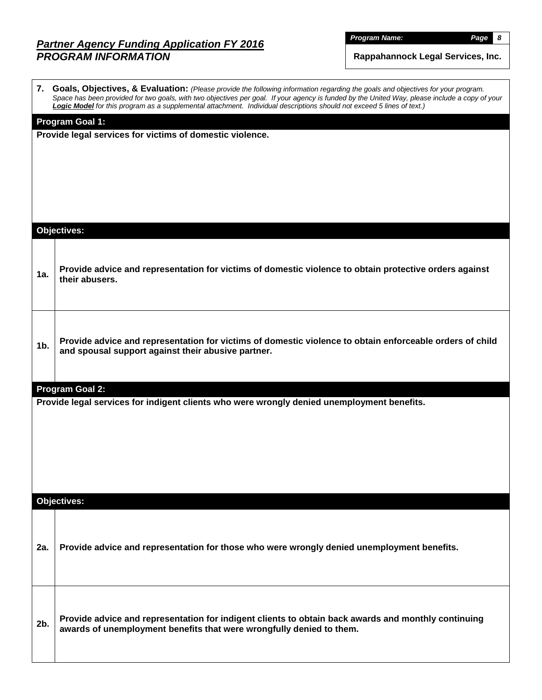*Program Name: Page 8*

**Rappahannock Legal Services, Inc.**

|        | 7. Goals, Objectives, & Evaluation: (Please provide the following information regarding the goals and objectives for your program.<br>Space has been provided for two goals, with two objectives per goal. If your agency is funded by the United Way, please include a copy of your<br>Logic Model for this program as a supplemental attachment. Individual descriptions should not exceed 5 lines of text.) |
|--------|----------------------------------------------------------------------------------------------------------------------------------------------------------------------------------------------------------------------------------------------------------------------------------------------------------------------------------------------------------------------------------------------------------------|
|        | Program Goal 1:                                                                                                                                                                                                                                                                                                                                                                                                |
|        | Provide legal services for victims of domestic violence.                                                                                                                                                                                                                                                                                                                                                       |
|        |                                                                                                                                                                                                                                                                                                                                                                                                                |
|        |                                                                                                                                                                                                                                                                                                                                                                                                                |
|        |                                                                                                                                                                                                                                                                                                                                                                                                                |
|        |                                                                                                                                                                                                                                                                                                                                                                                                                |
|        | <b>Objectives:</b>                                                                                                                                                                                                                                                                                                                                                                                             |
|        |                                                                                                                                                                                                                                                                                                                                                                                                                |
| 1a.    | Provide advice and representation for victims of domestic violence to obtain protective orders against<br>their abusers.                                                                                                                                                                                                                                                                                       |
|        |                                                                                                                                                                                                                                                                                                                                                                                                                |
|        |                                                                                                                                                                                                                                                                                                                                                                                                                |
|        | Provide advice and representation for victims of domestic violence to obtain enforceable orders of child                                                                                                                                                                                                                                                                                                       |
| $1b$ . | and spousal support against their abusive partner.                                                                                                                                                                                                                                                                                                                                                             |
|        |                                                                                                                                                                                                                                                                                                                                                                                                                |
|        | Program Goal 2:                                                                                                                                                                                                                                                                                                                                                                                                |
|        | Provide legal services for indigent clients who were wrongly denied unemployment benefits.                                                                                                                                                                                                                                                                                                                     |
|        |                                                                                                                                                                                                                                                                                                                                                                                                                |
|        |                                                                                                                                                                                                                                                                                                                                                                                                                |
|        |                                                                                                                                                                                                                                                                                                                                                                                                                |
|        |                                                                                                                                                                                                                                                                                                                                                                                                                |
|        | Objectives:                                                                                                                                                                                                                                                                                                                                                                                                    |
|        |                                                                                                                                                                                                                                                                                                                                                                                                                |
| 2a.    | Provide advice and representation for those who were wrongly denied unemployment benefits.                                                                                                                                                                                                                                                                                                                     |
|        |                                                                                                                                                                                                                                                                                                                                                                                                                |
|        |                                                                                                                                                                                                                                                                                                                                                                                                                |
|        |                                                                                                                                                                                                                                                                                                                                                                                                                |
| 2b.    | Provide advice and representation for indigent clients to obtain back awards and monthly continuing<br>awards of unemployment benefits that were wrongfully denied to them.                                                                                                                                                                                                                                    |
|        |                                                                                                                                                                                                                                                                                                                                                                                                                |
|        |                                                                                                                                                                                                                                                                                                                                                                                                                |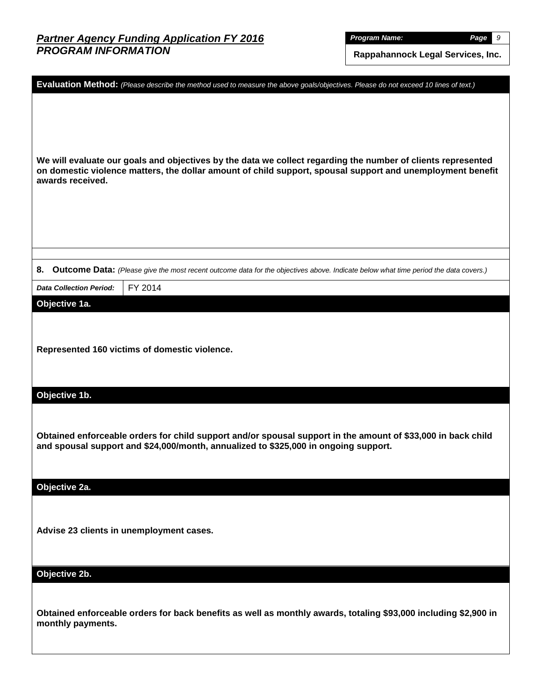*Program Name: Page 9*

**Rappahannock Legal Services, Inc.**

|                                          | Evaluation Method: (Please describe the method used to measure the above goals/objectives. Please do not exceed 10 lines of text.)                                                                                         |
|------------------------------------------|----------------------------------------------------------------------------------------------------------------------------------------------------------------------------------------------------------------------------|
| awards received.                         | We will evaluate our goals and objectives by the data we collect regarding the number of clients represented<br>on domestic violence matters, the dollar amount of child support, spousal support and unemployment benefit |
| 8.                                       | Outcome Data: (Please give the most recent outcome data for the objectives above. Indicate below what time period the data covers.)                                                                                        |
| <b>Data Collection Period:</b>           | FY 2014                                                                                                                                                                                                                    |
| Objective 1a.                            |                                                                                                                                                                                                                            |
|                                          | Represented 160 victims of domestic violence.                                                                                                                                                                              |
| Objective 1b.                            |                                                                                                                                                                                                                            |
|                                          | Obtained enforceable orders for child support and/or spousal support in the amount of \$33,000 in back child<br>and spousal support and \$24,000/month, annualized to \$325,000 in ongoing support.                        |
| Objective 2a.                            |                                                                                                                                                                                                                            |
| Advise 23 clients in unemployment cases. |                                                                                                                                                                                                                            |
| Objective 2b.                            |                                                                                                                                                                                                                            |
| monthly payments.                        | Obtained enforceable orders for back benefits as well as monthly awards, totaling \$93,000 including \$2,900 in                                                                                                            |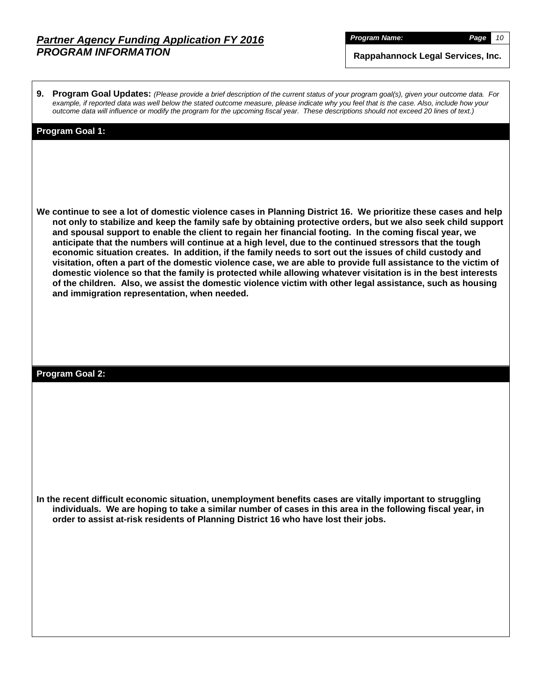*Program Name: Page 10*

**Rappahannock Legal Services, Inc.**

**9. Program Goal Updates:** *(Please provide a brief description of the current status of your program goal(s), given your outcome data. For example, if reported data was well below the stated outcome measure, please indicate why you feel that is the case. Also, include how your outcome data will influence or modify the program for the upcoming fiscal year. These descriptions should not exceed 20 lines of text.)*

#### **Program Goal 1:**

**We continue to see a lot of domestic violence cases in Planning District 16. We prioritize these cases and help not only to stabilize and keep the family safe by obtaining protective orders, but we also seek child support and spousal support to enable the client to regain her financial footing. In the coming fiscal year, we anticipate that the numbers will continue at a high level, due to the continued stressors that the tough economic situation creates. In addition, if the family needs to sort out the issues of child custody and visitation, often a part of the domestic violence case, we are able to provide full assistance to the victim of domestic violence so that the family is protected while allowing whatever visitation is in the best interests of the children. Also, we assist the domestic violence victim with other legal assistance, such as housing and immigration representation, when needed.**

#### **Program Goal 2:**

**In the recent difficult economic situation, unemployment benefits cases are vitally important to struggling individuals. We are hoping to take a similar number of cases in this area in the following fiscal year, in order to assist at-risk residents of Planning District 16 who have lost their jobs.**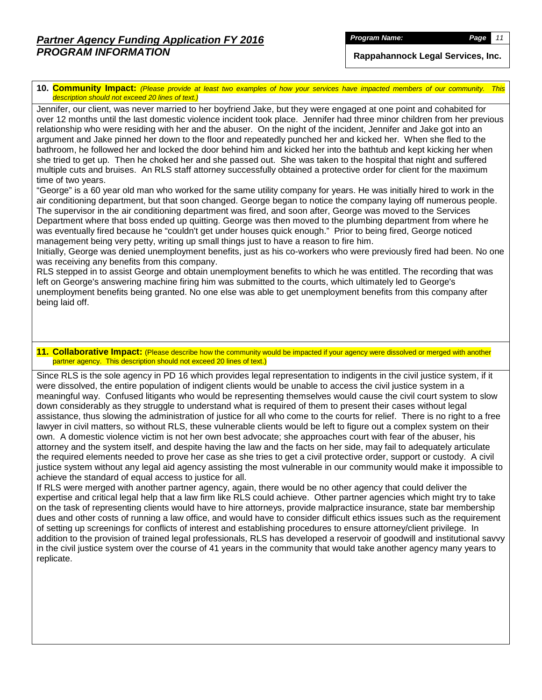*Program Name: Page 11*

**Rappahannock Legal Services, Inc.**

**10. Community Impact:** *(Please provide at least two examples of how your services have impacted members of our community. This description should not exceed 20 lines of text.)*

Jennifer, our client, was never married to her boyfriend Jake, but they were engaged at one point and cohabited for over 12 months until the last domestic violence incident took place. Jennifer had three minor children from her previous relationship who were residing with her and the abuser. On the night of the incident, Jennifer and Jake got into an argument and Jake pinned her down to the floor and repeatedly punched her and kicked her. When she fled to the bathroom, he followed her and locked the door behind him and kicked her into the bathtub and kept kicking her when she tried to get up. Then he choked her and she passed out. She was taken to the hospital that night and suffered multiple cuts and bruises. An RLS staff attorney successfully obtained a protective order for client for the maximum time of two years.

"George" is a 60 year old man who worked for the same utility company for years. He was initially hired to work in the air conditioning department, but that soon changed. George began to notice the company laying off numerous people. The supervisor in the air conditioning department was fired, and soon after, George was moved to the Services Department where that boss ended up quitting. George was then moved to the plumbing department from where he was eventually fired because he "couldn't get under houses quick enough." Prior to being fired, George noticed management being very petty, writing up small things just to have a reason to fire him.

Initially, George was denied unemployment benefits, just as his co-workers who were previously fired had been. No one was receiving any benefits from this company.

RLS stepped in to assist George and obtain unemployment benefits to which he was entitled. The recording that was left on George's answering machine firing him was submitted to the courts, which ultimately led to George's unemployment benefits being granted. No one else was able to get unemployment benefits from this company after being laid off.

#### **11. Collaborative Impact:** (Please describe how the community would be impacted if your agency were dissolved or merged with another partner agency. This description should not exceed 20 lines of text.)

Since RLS is the sole agency in PD 16 which provides legal representation to indigents in the civil justice system, if it were dissolved, the entire population of indigent clients would be unable to access the civil justice system in a meaningful way. Confused litigants who would be representing themselves would cause the civil court system to slow down considerably as they struggle to understand what is required of them to present their cases without legal assistance, thus slowing the administration of justice for all who come to the courts for relief. There is no right to a free lawyer in civil matters, so without RLS, these vulnerable clients would be left to figure out a complex system on their own. A domestic violence victim is not her own best advocate; she approaches court with fear of the abuser, his attorney and the system itself, and despite having the law and the facts on her side, may fail to adequately articulate the required elements needed to prove her case as she tries to get a civil protective order, support or custody. A civil justice system without any legal aid agency assisting the most vulnerable in our community would make it impossible to achieve the standard of equal access to justice for all.

If RLS were merged with another partner agency, again, there would be no other agency that could deliver the expertise and critical legal help that a law firm like RLS could achieve. Other partner agencies which might try to take on the task of representing clients would have to hire attorneys, provide malpractice insurance, state bar membership dues and other costs of running a law office, and would have to consider difficult ethics issues such as the requirement of setting up screenings for conflicts of interest and establishing procedures to ensure attorney/client privilege. In addition to the provision of trained legal professionals, RLS has developed a reservoir of goodwill and institutional savvy in the civil justice system over the course of 41 years in the community that would take another agency many years to replicate.